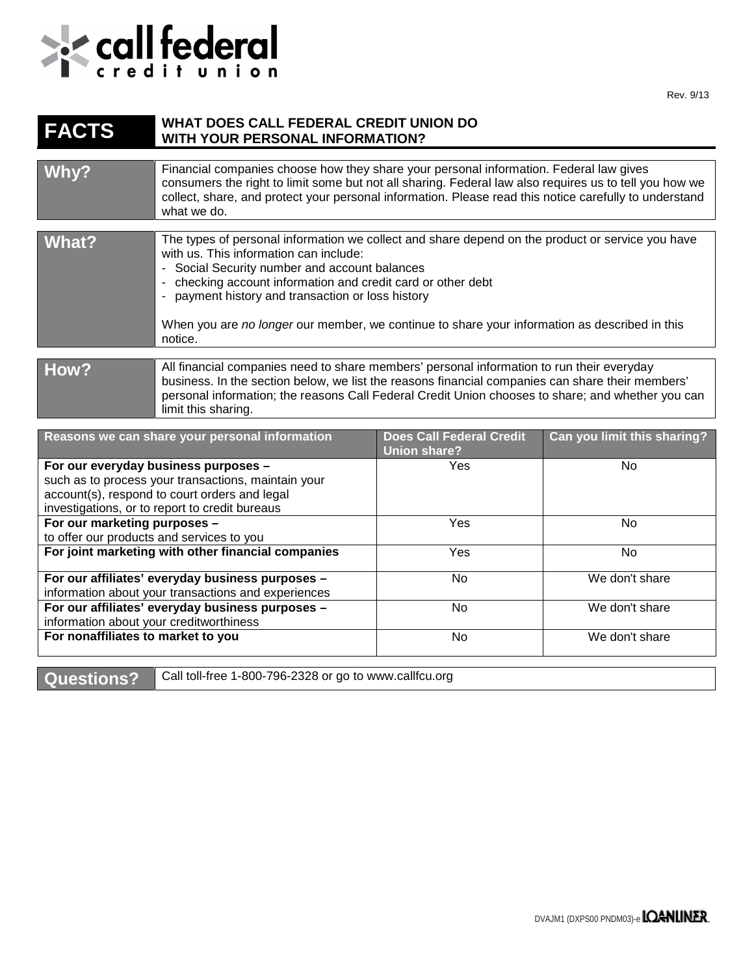

## **FACTS WHAT DOES CALL FEDERAL CREDIT UNION DO WITH YOUR PERSONAL INFORMATION?**

| Why?  | Financial companies choose how they share your personal information. Federal law gives<br>consumers the right to limit some but not all sharing. Federal law also requires us to tell you how we<br>collect, share, and protect your personal information. Please read this notice carefully to understand<br>what we do.                                                                                                    |
|-------|------------------------------------------------------------------------------------------------------------------------------------------------------------------------------------------------------------------------------------------------------------------------------------------------------------------------------------------------------------------------------------------------------------------------------|
| What? | The types of personal information we collect and share depend on the product or service you have<br>with us. This information can include:<br>- Social Security number and account balances<br>- checking account information and credit card or other debt<br>- payment history and transaction or loss history<br>When you are no longer our member, we continue to share your information as described in this<br>notice. |
| How?  | All financial companies need to share members' personal information to run their everyday<br>business. In the section below, we list the reasons financial companies can share their members'<br>personal information; the reasons Call Federal Credit Union chooses to share; and whether you can<br>limit this sharing.                                                                                                    |

| Reasons we can share your personal information      | <b>Does Call Federal Credit</b><br><b>Union share?</b> | Can you limit this sharing? |
|-----------------------------------------------------|--------------------------------------------------------|-----------------------------|
| For our everyday business purposes -                | Yes                                                    | No.                         |
| such as to process your transactions, maintain your |                                                        |                             |
| account(s), respond to court orders and legal       |                                                        |                             |
| investigations, or to report to credit bureaus      |                                                        |                             |
| For our marketing purposes -                        | Yes                                                    | No.                         |
| to offer our products and services to you           |                                                        |                             |
| For joint marketing with other financial companies  | Yes                                                    | No.                         |
| For our affiliates' everyday business purposes -    | No                                                     | We don't share              |
| information about your transactions and experiences |                                                        |                             |
| For our affiliates' everyday business purposes -    | No.                                                    | We don't share              |
| information about your creditworthiness             |                                                        |                             |
| For nonaffiliates to market to you                  | No.                                                    | We don't share              |

Questions? Call toll-free 1-800-796-2328 or go to www.callfcu.org